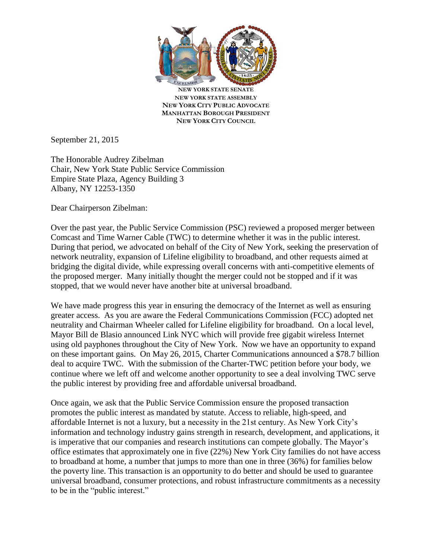

**NEW YORK STATE SENATE NEW YORK STATE ASSEMBLY NEW YORK CITY PUBLIC ADVOCATE MANHATTAN BOROUGH PRESIDENT NEW YORK CITY COUNCIL**

September 21, 2015

The Honorable Audrey Zibelman Chair, New York State Public Service Commission Empire State Plaza, Agency Building 3 Albany, NY 12253-1350

Dear Chairperson Zibelman:

Over the past year, the Public Service Commission (PSC) reviewed a proposed merger between Comcast and Time Warner Cable (TWC) to determine whether it was in the public interest. During that period, we advocated on behalf of the City of New York, seeking the preservation of network neutrality, expansion of Lifeline eligibility to broadband, and other requests aimed at bridging the digital divide, while expressing overall concerns with anti-competitive elements of the proposed merger. Many initially thought the merger could not be stopped and if it was stopped, that we would never have another bite at universal broadband.

We have made progress this year in ensuring the democracy of the Internet as well as ensuring greater access. As you are aware the Federal Communications Commission (FCC) adopted net neutrality and Chairman Wheeler called for Lifeline eligibility for broadband. On a local level, Mayor Bill de Blasio announced Link NYC which will provide free gigabit wireless Internet using old payphones throughout the City of New York. Now we have an opportunity to expand on these important gains. On May 26, 2015, Charter Communications announced a \$78.7 billion deal to acquire TWC. With the submission of the Charter-TWC petition before your body, we continue where we left off and welcome another opportunity to see a deal involving TWC serve the public interest by providing free and affordable universal broadband.

Once again, we ask that the Public Service Commission ensure the proposed transaction promotes the public interest as mandated by statute. Access to reliable, high-speed, and affordable Internet is not a luxury, but a necessity in the 21st century. As New York City's information and technology industry gains strength in research, development, and applications, it is imperative that our companies and research institutions can compete globally. The Mayor's office estimates that approximately one in five (22%) New York City families do not have access to broadband at home, a number that jumps to more than one in three (36%) for families below the poverty line. This transaction is an opportunity to do better and should be used to guarantee universal broadband, consumer protections, and robust infrastructure commitments as a necessity to be in the "public interest."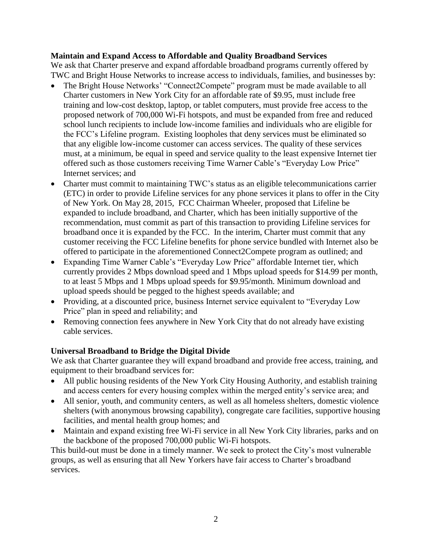## **Maintain and Expand Access to Affordable and Quality Broadband Services**

We ask that Charter preserve and expand affordable broadband programs currently offered by TWC and Bright House Networks to increase access to individuals, families, and businesses by:

- The Bright House Networks' "Connect2Compete" program must be made available to all Charter customers in New York City for an affordable rate of \$9.95, must include free training and low-cost desktop, laptop, or tablet computers, must provide free access to the proposed network of 700,000 Wi-Fi hotspots, and must be expanded from free and reduced school lunch recipients to include low-income families and individuals who are eligible for the FCC's Lifeline program. Existing loopholes that deny services must be eliminated so that any eligible low-income customer can access services. The quality of these services must, at a minimum, be equal in speed and service quality to the least expensive Internet tier offered such as those customers receiving Time Warner Cable's "Everyday Low Price" Internet services; and
- Charter must commit to maintaining TWC's status as an eligible telecommunications carrier (ETC) in order to provide Lifeline services for any phone services it plans to offer in the City of New York. On May 28, 2015, FCC Chairman Wheeler, proposed that Lifeline be expanded to include broadband, and Charter, which has been initially supportive of the recommendation, must commit as part of this transaction to providing Lifeline services for broadband once it is expanded by the FCC. In the interim, Charter must commit that any customer receiving the FCC Lifeline benefits for phone service bundled with Internet also be offered to participate in the aforementioned Connect2Compete program as outlined; and
- Expanding Time Warner Cable's "Everyday Low Price" affordable Internet tier, which currently provides 2 Mbps download speed and 1 Mbps upload speeds for \$14.99 per month, to at least 5 Mbps and 1 Mbps upload speeds for \$9.95/month. Minimum download and upload speeds should be pegged to the highest speeds available; and
- Providing, at a discounted price, business Internet service equivalent to "Everyday Low" Price" plan in speed and reliability; and
- Removing connection fees anywhere in New York City that do not already have existing cable services.

## **Universal Broadband to Bridge the Digital Divide**

We ask that Charter guarantee they will expand broadband and provide free access, training, and equipment to their broadband services for:

- All public housing residents of the New York City Housing Authority, and establish training and access centers for every housing complex within the merged entity's service area; and
- All senior, youth, and community centers, as well as all homeless shelters, domestic violence shelters (with anonymous browsing capability), congregate care facilities, supportive housing facilities, and mental health group homes; and
- Maintain and expand existing free Wi-Fi service in all New York City libraries, parks and on the backbone of the proposed 700,000 public Wi-Fi hotspots.

This build-out must be done in a timely manner. We seek to protect the City's most vulnerable groups, as well as ensuring that all New Yorkers have fair access to Charter's broadband services.